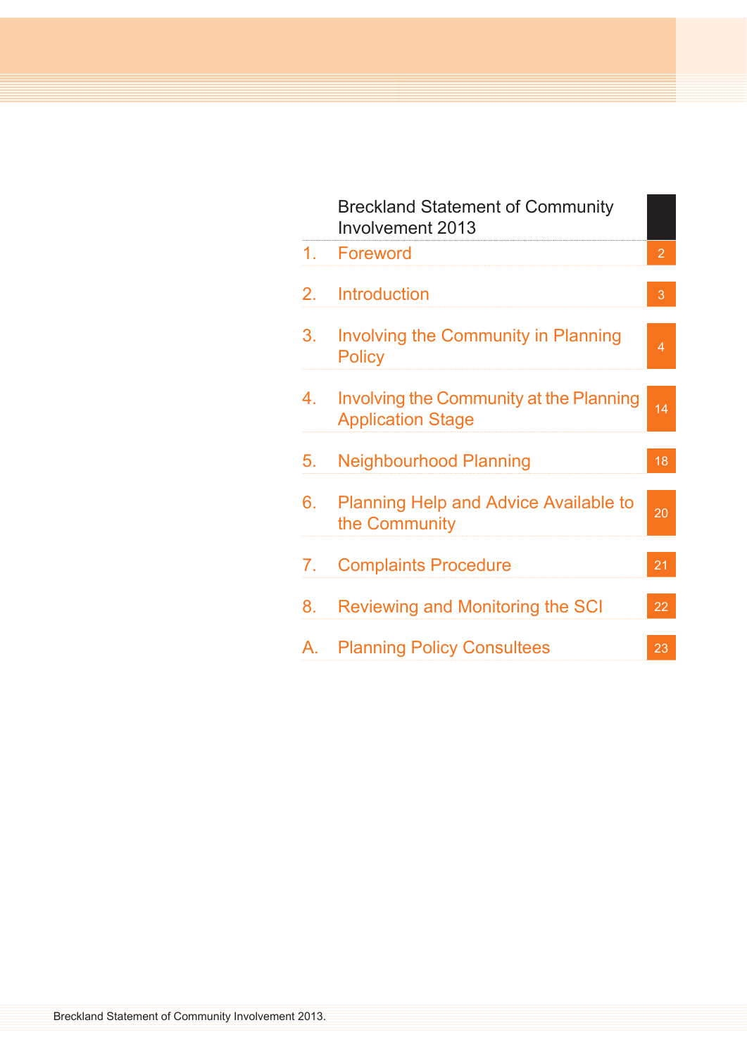|    | <b>Breckland Statement of Community</b><br><b>Involvement 2013</b>         |                |
|----|----------------------------------------------------------------------------|----------------|
| 1. | Foreword                                                                   | $\overline{2}$ |
| 2. | <b>Introduction</b>                                                        | 3              |
| 3. | <b>Involving the Community in Planning</b><br><b>Policy</b>                | 4              |
| 4. | <b>Involving the Community at the Planning</b><br><b>Application Stage</b> | 14             |
| 5. | <b>Neighbourhood Planning</b>                                              | 18             |
| 6. | <b>Planning Help and Advice Available to</b><br>the Community              | 20             |
| 7. | <b>Complaints Procedure</b>                                                | 21             |
| 8. | Reviewing and Monitoring the SCI                                           | 22             |
| Α. | <b>Planning Policy Consultees</b>                                          | 23             |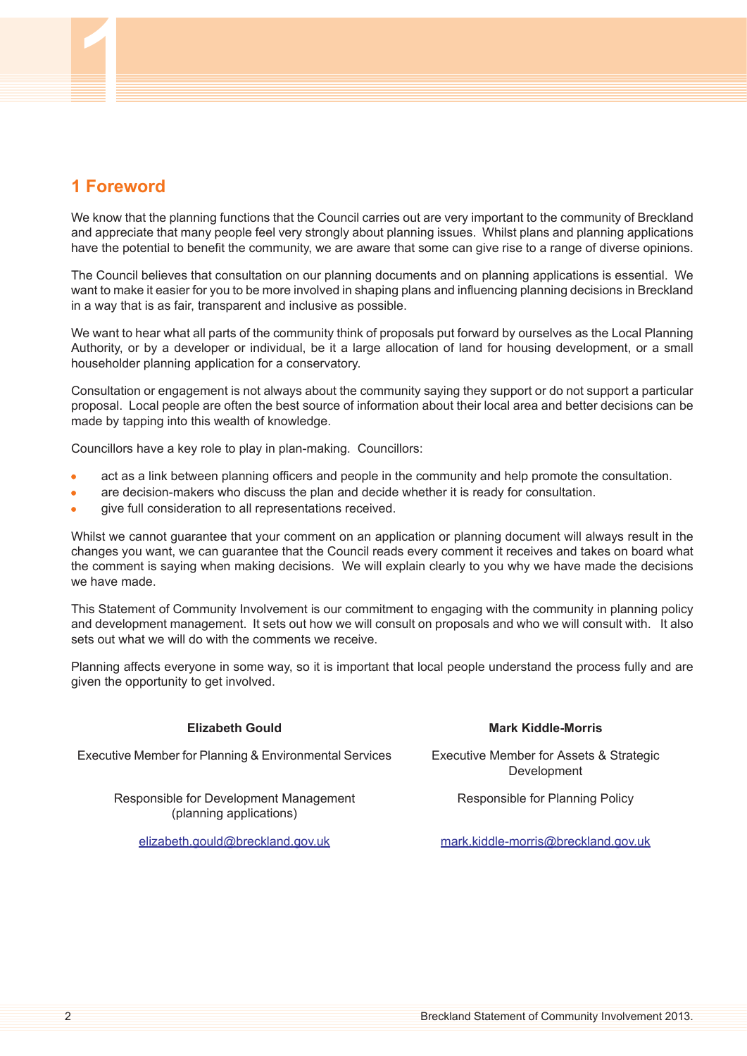# <span id="page-1-0"></span>**1 Foreword**

We know that the planning functions that the Council carries out are very important to the community of Breckland and appreciate that many people feel very strongly about planning issues. Whilst plans and planning applications have the potential to benefit the community, we are aware that some can give rise to a range of diverse opinions.

The Council believes that consultation on our planning documents and on planning applications is essential. We want to make it easier for you to be more involved in shaping plans and influencing planning decisions in Breckland in a way that is as fair, transparent and inclusive as possible.

We want to hear what all parts of the community think of proposals put forward by ourselves as the Local Planning Authority, or by a developer or individual, be it a large allocation of land for housing development, or a small householder planning application for a conservatory.

Consultation or engagement is not always about the community saying they support or do not support a particular proposal. Local people are often the best source of information about their local area and better decisions can be made by tapping into this wealth of knowledge.

Councillors have a key role to play in plan-making. Councillors:

- act as a link between planning officers and people in the community and help promote the consultation.
- are decision-makers who discuss the plan and decide whether it is ready for consultation.
- give full consideration to all representations received.

Whilst we cannot guarantee that your comment on an application or planning document will always result in the changes you want, we can guarantee that the Council reads every comment it receives and takes on board what the comment is saying when making decisions. We will explain clearly to you why we have made the decisions we have made.

This Statement of Community Involvement is our commitment to engaging with the community in planning policy and development management. It sets out how we will consult on proposals and who we will consult with. It also sets out what we will do with the comments we receive.

Planning affects everyone in some way, so it is important that local people understand the process fully and are given the opportunity to get involved.

| <b>Elizabeth Gould</b>                                            | <b>Mark Kiddle-Morris</b>                              |
|-------------------------------------------------------------------|--------------------------------------------------------|
| Executive Member for Planning & Environmental Services            | Executive Member for Assets & Strategic<br>Development |
| Responsible for Development Management<br>(planning applications) | Responsible for Planning Policy                        |
| elizabeth.gould@breckland.gov.uk                                  | mark.kiddle-morris@breckland.gov.uk                    |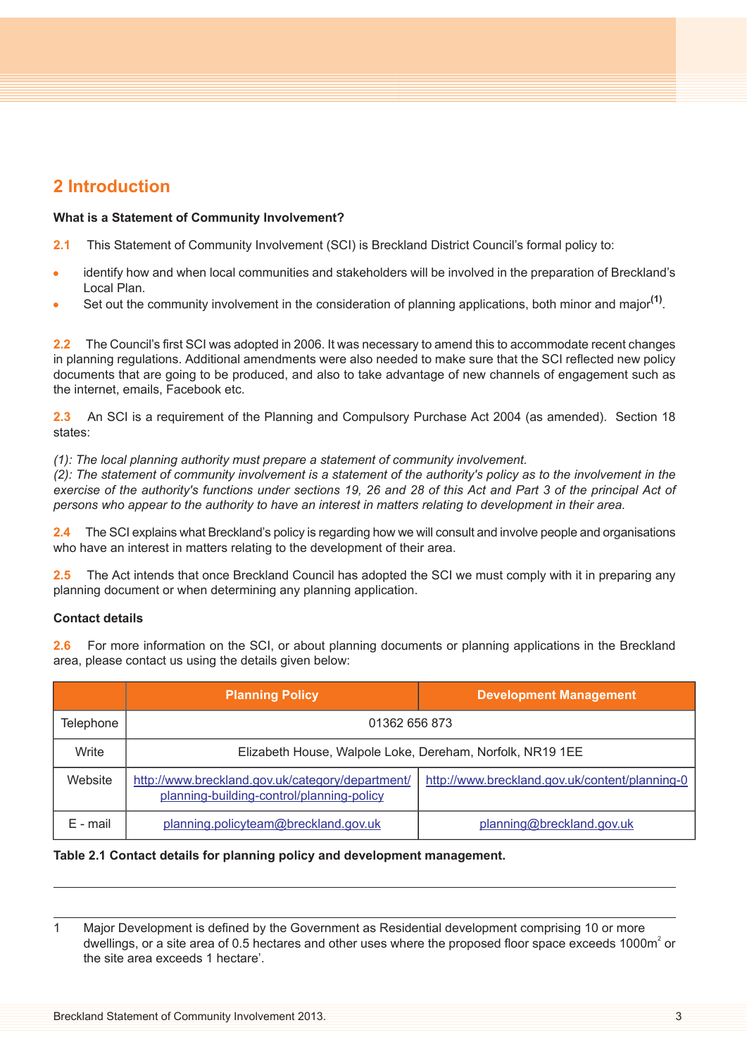# <span id="page-2-0"></span>**2 Introduction**

# **What is a Statement of Community Involvement?**

- **2.1** This Statement of Community Involvement (SCI) is Breckland District Council's formal policy to:
- identify how and when local communities and stakeholders will be involved in the preparation of Breckland's Local Plan.
- Set out the community involvement in the consideration of planning applications, both minor and major<sup>(1)</sup>.

**2.2** The Council's first SCI was adopted in 2006. It was necessary to amend this to accommodate recent changes in planning regulations. Additional amendments were also needed to make sure that the SCI reflected new policy documents that are going to be produced, and also to take advantage of new channels of engagement such as the internet, emails, Facebook etc.

**2.3** An SCI is a requirement of the Planning and Compulsory Purchase Act 2004 (as amended). Section 18 states:

*(1): The local planning authority must prepare a statement of community involvement.*

(2): The statement of community involvement is a statement of the authority's policy as to the involvement in the exercise of the authority's functions under sections 19, 26 and 28 of this Act and Part 3 of the principal Act of persons who appear to the authority to have an interest in matters relating to development in their area.

The SCI explains what Breckland's policy is regarding how we will consult and involve people and organisations who have an interest in matters relating to the development of their area.

**2.5** The Act intends that once Breckland Council has adopted the SCI we must comply with it in preparing any planning document or when determining any planning application.

# **Contact details**

**2.6** For more information on the SCI, or about planning documents or planning applications in the Breckland area, please contact us using the details given below:

|                  | <b>Planning Policy</b>                                                                        | <b>Development Management</b>                  |  |  |
|------------------|-----------------------------------------------------------------------------------------------|------------------------------------------------|--|--|
| <b>Telephone</b> | 01362 656 873                                                                                 |                                                |  |  |
| Write            | Elizabeth House, Walpole Loke, Dereham, Norfolk, NR19 1EE                                     |                                                |  |  |
| Website          | http://www.breckland.gov.uk/category/department/<br>planning-building-control/planning-policy | http://www.breckland.gov.uk/content/planning-0 |  |  |
| E - mail         | planning.policyteam@breckland.gov.uk                                                          | planning@breckland.gov.uk                      |  |  |

# **Table 2.1 Contact details for planning policy and development management.**

<sup>1</sup> Major Development is defined by the Government as Residential development comprising 10 or more dwellings, or a site area of 0.5 hectares and other uses where the proposed floor space exceeds 1000m<sup>2</sup> or the site area exceeds 1 hectare'.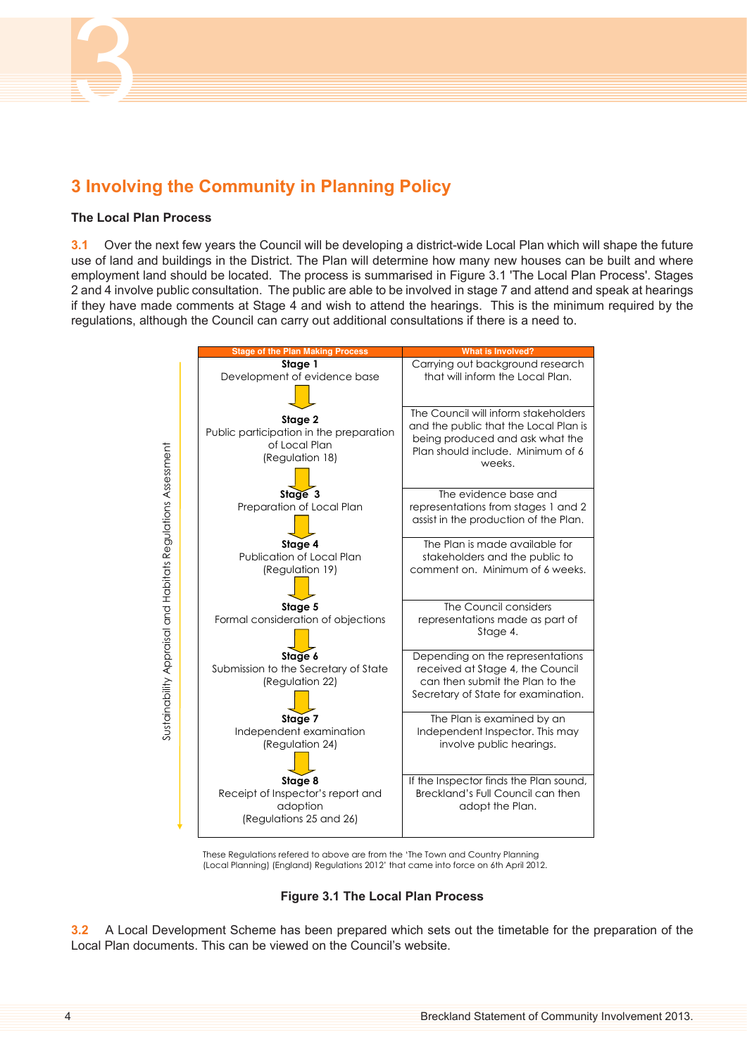

# <span id="page-3-0"></span>**3 Involving the Community in Planning Policy**

## **The Local Plan Process**

**3.1** Over the next few years the Council will be developing a district-wide Local Plan which will shape the future use of land and buildings in the District. The Plan will determine how many new houses can be built and where employment land should be located. The process is summarised in Figure 3.1 'The Local Plan [Process'](#page-3-1). Stages 2 and 4 involve public consultation. The public are able to be involved in stage 7 and attend and speak at hearings if they have made comments at Stage 4 and wish to attend the hearings. This is the minimum required by the regulations, although the Council can carry out additional consultations if there is a need to.



<span id="page-3-1"></span>These Regulations refered to above are from the 'The Town and Country Planning (Local Planning) (England) Regulations 2012' that came into force on 6th April 2012.

# **Figure 3.1 The Local Plan Process**

**3.2** A Local Development Scheme has been prepared which sets out the timetable for the preparation of the Local Plan documents. This can be viewed on the Council's website.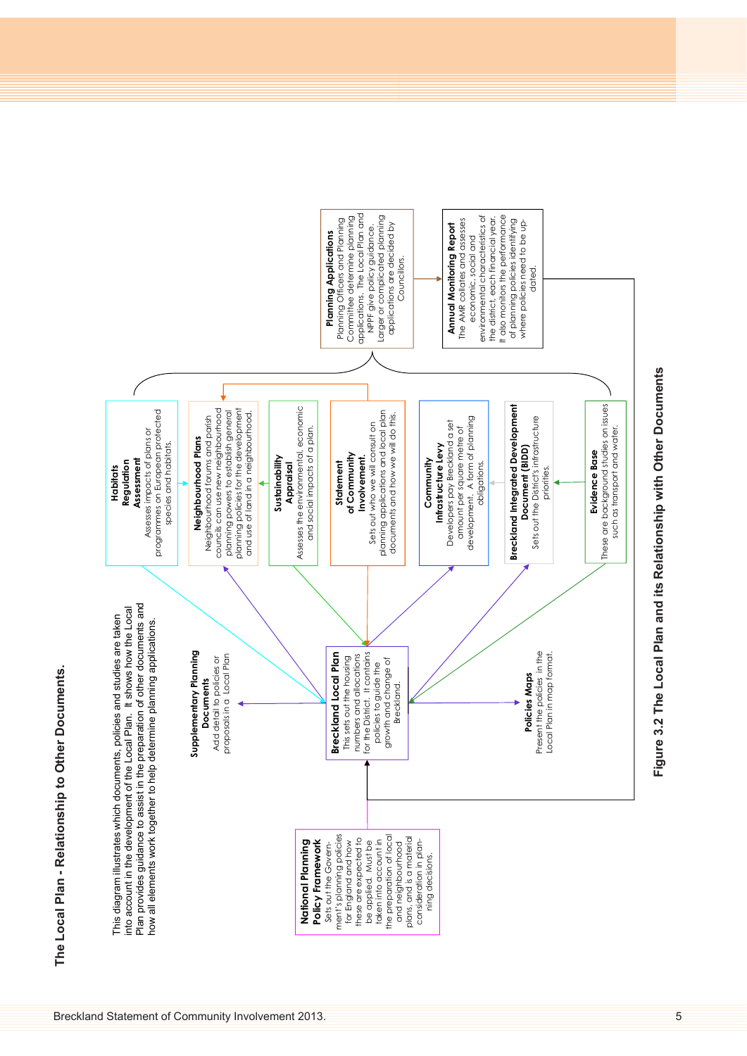



# Figure 3.2 The Local Plan and its Relationship with Other Documents **Figure 3.2 The Local Plan and its Relationship with Other Documents**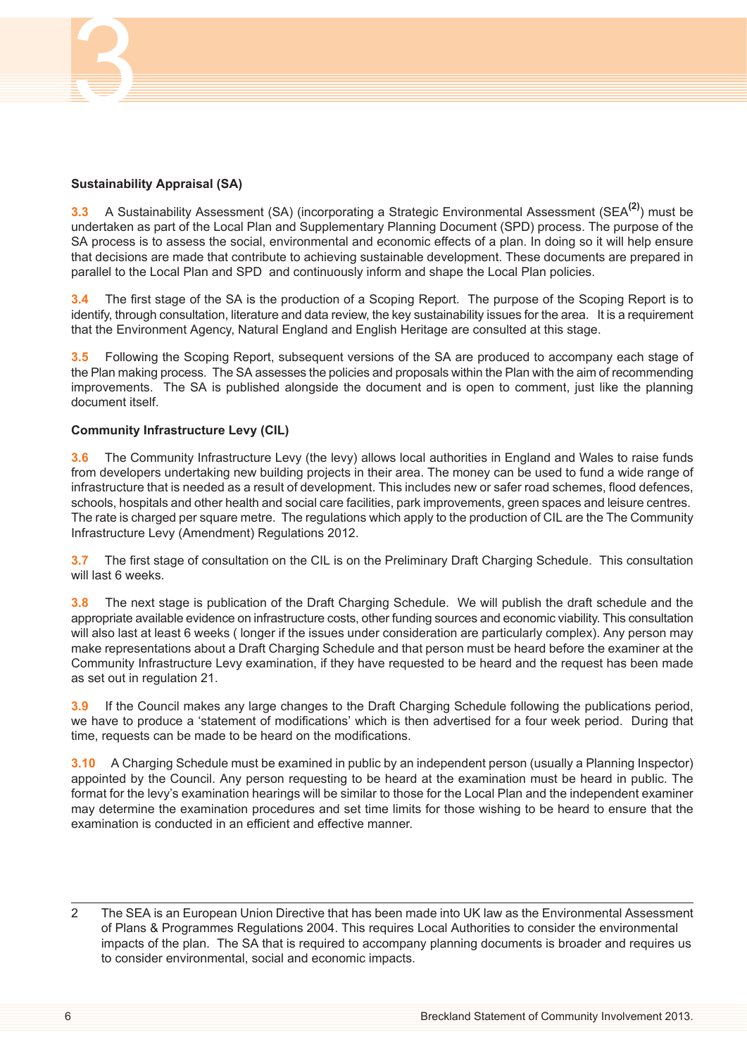

# **Sustainability Appraisal (SA)**

**3.3** A Sustainability Assessment (SA) (incorporating a Strategic Environmental Assessment (SEA**(2)**) must be undertaken as part of the Local Plan and Supplementary Planning Document (SPD) process. The purpose of the SA process is to assess the social, environmental and economic effects of a plan. In doing so it will help ensure that decisions are made that contribute to achieving sustainable development. These documents are prepared in parallel to the Local Plan and SPD and continuously inform and shape the Local Plan policies.

**3.4** The first stage of the SA is the production of a Scoping Report. The purpose of the Scoping Report is to identify, through consultation, literature and data review, the key sustainability issues for the area. It is a requirement that the Environment Agency, Natural England and English Heritage are consulted at this stage.

**3.5** Following the Scoping Report, subsequent versions of the SA are produced to accompany each stage of the Plan making process. The SA assesses the policies and proposals within the Plan with the aim of recommending improvements. The SA is published alongside the document and is open to comment, just like the planning document itself.

# **Community Infrastructure Levy (CIL)**

**3.6** The Community Infrastructure Levy (the levy) allows local authorities in England and Wales to raise funds from developers undertaking new building projects in their area. The money can be used to fund a wide range of infrastructure that is needed as a result of development. This includes new or safer road schemes, flood defences, schools, hospitals and other health and social care facilities, park improvements, green spaces and leisure centres. The rate is charged per square metre. The regulations which apply to the production of CIL are the The Community Infrastructure Levy (Amendment) Regulations 2012.

**3.7** The first stage of consultation on the CIL is on the Preliminary Draft Charging Schedule. This consultation will last 6 weeks.

**3.8** The next stage is publication of the Draft Charging Schedule. We will publish the draft schedule and the appropriate available evidence on infrastructure costs, other funding sources and economic viability. This consultation will also last at least 6 weeks ( longer if the issues under consideration are particularly complex). Any person may make representations about a Draft Charging Schedule and that person must be heard before the examiner at the Community Infrastructure Levy examination, if they have requested to be heard and the request has been made as set out in regulation 21.

**3.9** If the Council makes any large changes to the Draft Charging Schedule following the publications period, we have to produce a 'statement of modifications' which is then advertised for a four week period. During that time, requests can be made to be heard on the modifications.

**3.10** A Charging Schedule must be examined in public by an independent person (usually a Planning Inspector) appointed by the Council. Any person requesting to be heard at the examination must be heard in public. The format for the levy's examination hearings will be similar to those for the Local Plan and the independent examiner may determine the examination procedures and set time limits for those wishing to be heard to ensure that the examination is conducted in an efficient and effective manner.

<sup>2</sup> The SEA is an European Union Directive that has been made into UK law as the Environmental Assessment of Plans & Programmes Regulations 2004. This requires Local Authorities to consider the environmental impacts of the plan. The SA that is required to accompany planning documents is broader and requires us to consider environmental, social and economic impacts.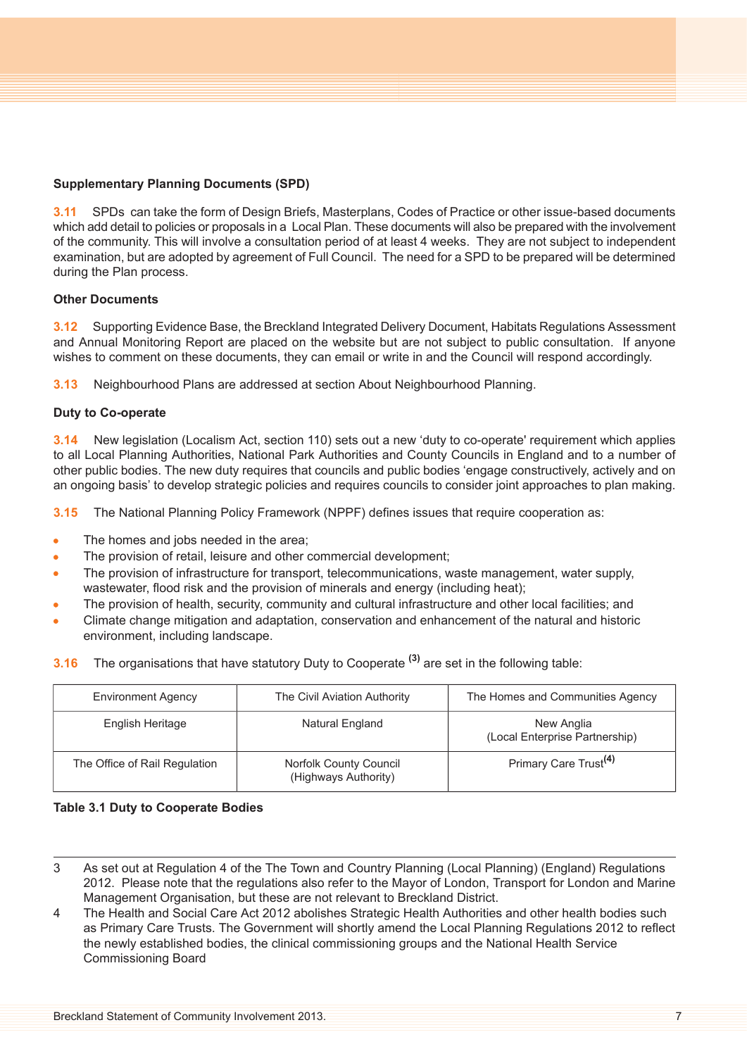# **Supplementary Planning Documents (SPD)**

**3.11** SPDs can take the form of Design Briefs, Masterplans, Codes of Practice or other issue-based documents which add detail to policies or proposals in a Local Plan. These documents will also be prepared with the involvement of the community. This will involve a consultation period of at least 4 weeks. They are not subject to independent examination, but are adopted by agreement of Full Council. The need for a SPD to be prepared will be determined during the Plan process.

# **Other Documents**

**3.12** Supporting Evidence Base, the Breckland Integrated Delivery Document, Habitats Regulations Assessment and Annual Monitoring Report are placed on the website but are not subject to public consultation. If anyone wishes to comment on these documents, they can email or write in and the Council will respond accordingly.

**3.13** Neighbourhood Plans are addressed at section About Neighbourhood Planning.

# **Duty to Co-operate**

**3.14** New legislation (Localism Act, section 110) sets out a new 'duty to co-operate' requirement which applies to all Local Planning Authorities, National Park Authorities and County Councils in England and to a number of other public bodies. The new duty requires that councils and public bodies 'engage constructively, actively and on an ongoing basis' to develop strategic policies and requires councils to consider joint approaches to plan making.

**3.15** The National Planning Policy Framework (NPPF) defines issues that require cooperation as:

- The homes and jobs needed in the area;  $\bullet$
- $\bullet$ The provision of retail, leisure and other commercial development;
- The provision of infrastructure for transport, telecommunications, waste management, water supply,  $\bullet$ wastewater, flood risk and the provision of minerals and energy (including heat);
- The provision of health, security, community and cultural infrastructure and other local facilities; and
- Climate change mitigation and adaptation, conservation and enhancement of the natural and historic environment, including landscape.
- **3.16** The organisations that have statutory Duty to Cooperate **(3)** are set in the following table:

| <b>Environment Agency</b>     | The Civil Aviation Authority                   | The Homes and Communities Agency             |
|-------------------------------|------------------------------------------------|----------------------------------------------|
| English Heritage              | Natural England                                | New Anglia<br>(Local Enterprise Partnership) |
| The Office of Rail Regulation | Norfolk County Council<br>(Highways Authority) | Primary Care Trust <sup>(4)</sup>            |

# **Table 3.1 Duty to Cooperate Bodies**

4 The Health and Social Care Act 2012 abolishes Strategic Health Authorities and other health bodies such as Primary Care Trusts. The Government will shortly amend the Local Planning Regulations 2012 to reflect the newly established bodies, the clinical commissioning groups and the National Health Service Commissioning Board

<sup>3</sup> As set out at Regulation 4 of the The Town and Country Planning (Local Planning) (England) Regulations 2012. Please note that the regulations also refer to the Mayor of London, Transport for London and Marine Management Organisation, but these are not relevant to Breckland District.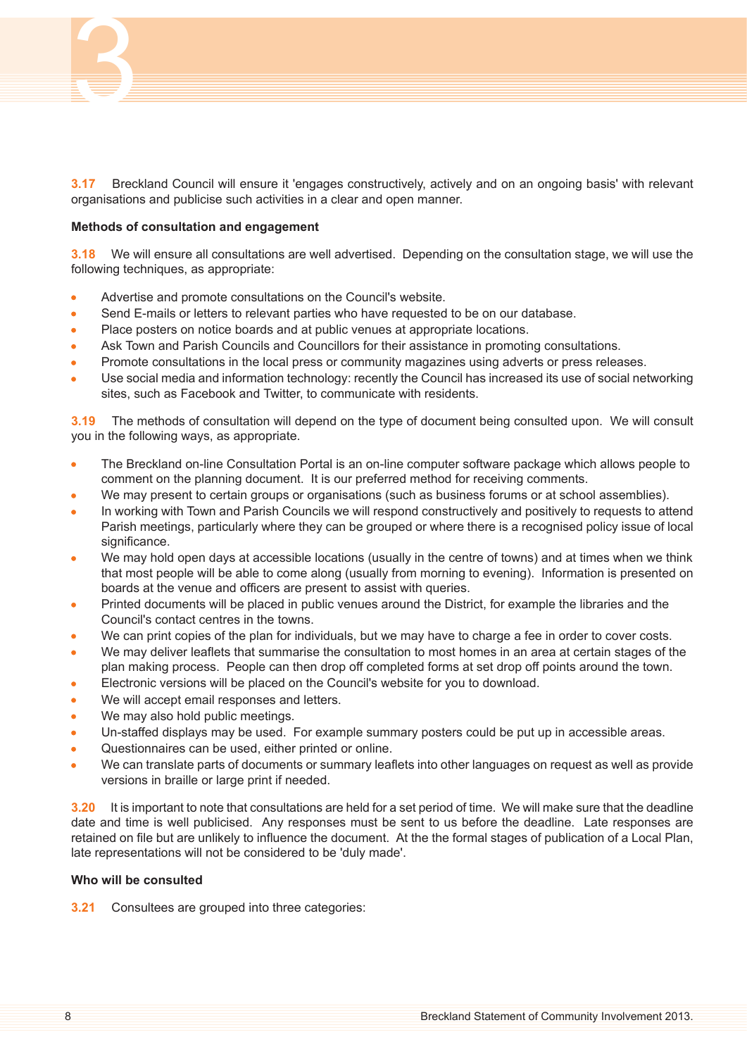

**3.17** Breckland Council will ensure it 'engages constructively, actively and on an ongoing basis' with relevant organisations and publicise such activities in a clear and open manner.

#### **Methods of consultation and engagement**

**3.18** We will ensure all consultations are well advertised. Depending on the consultation stage, we will use the following techniques, as appropriate:

- Advertise and promote consultations on the Council's website.
- Send E-mails or letters to relevant parties who have requested to be on our database.
- Place posters on notice boards and at public venues at appropriate locations.
- Ask Town and Parish Councils and Councillors for their assistance in promoting consultations.
- Promote consultations in the local press or community magazines using adverts or press releases.
- Use social media and information technology: recently the Council has increased its use of social networking sites, such as Facebook and Twitter, to communicate with residents.

**3.19** The methods of consultation will depend on the type of document being consulted upon. We will consult you in the following ways, as appropriate.

- The Breckland on-line Consultation Portal is an on-line computer software package which allows people to  $\blacksquare$ comment on the planning document. It is our preferred method for receiving comments.
- We may present to certain groups or organisations (such as business forums or at school assemblies).
- In working with Town and Parish Councils we will respond constructively and positively to requests to attend Parish meetings, particularly where they can be grouped or where there is a recognised policy issue of local significance.
- We may hold open days at accessible locations (usually in the centre of towns) and at times when we think that most people will be able to come along (usually from morning to evening). Information is presented on boards at the venue and officers are present to assist with queries.
- Printed documents will be placed in public venues around the District, for example the libraries and the  $\bullet$ Council's contact centres in the towns.
- We can print copies of the plan for individuals, but we may have to charge a fee in order to cover costs.
- We may deliver leaflets that summarise the consultation to most homes in an area at certain stages of the plan making process. People can then drop off completed forms at set drop off points around the town.
- Electronic versions will be placed on the Council's website for you to download.
- We will accept email responses and letters.
- We may also hold public meetings.
- Un-staffed displays may be used. For example summary posters could be put up in accessible areas.
- Questionnaires can be used, either printed or online.
- We can translate parts of documents or summary leaflets into other languages on request as well as provide versions in braille or large print if needed.

**3.20** It is important to note that consultations are held for a set period of time. We will make sure that the deadline date and time is well publicised. Any responses must be sent to us before the deadline. Late responses are retained on file but are unlikely to influence the document. At the the formal stages of publication of a Local Plan, late representations will not be considered to be 'duly made'.

#### **Who will be consulted**

**3.21** Consultees are grouped into three categories: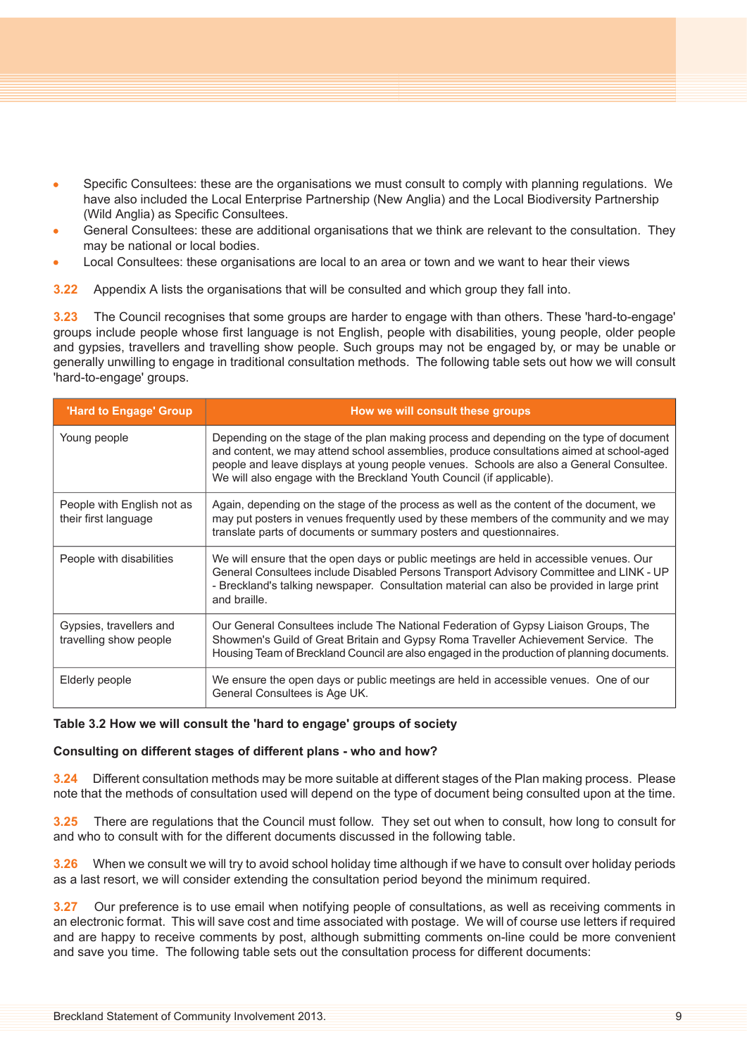- Specific Consultees: these are the organisations we must consult to comply with planning regulations. We  $\bullet$ have also included the Local Enterprise Partnership (New Anglia) and the Local Biodiversity Partnership (Wild Anglia) as Specific Consultees.
- General Consultees: these are additional organisations that we think are relevant to the consultation. They may be national or local bodies.
- Local Consultees: these organisations are local to an area or town and we want to hear their views
- **3.22** Appendix A lists the organisations that will be consulted and which group they fall into.

**3.23** The Council recognises that some groups are harder to engage with than others. These 'hard-to-engage' groups include people whose first language is not English, people with disabilities, young people, older people and gypsies, travellers and travelling show people. Such groups may not be engaged by, or may be unable or generally unwilling to engage in traditional consultation methods. The following table sets out how we will consult 'hard-to-engage' groups.

| 'Hard to Engage' Group                             | How we will consult these groups                                                                                                                                                                                                                                                                                                                        |
|----------------------------------------------------|---------------------------------------------------------------------------------------------------------------------------------------------------------------------------------------------------------------------------------------------------------------------------------------------------------------------------------------------------------|
| Young people                                       | Depending on the stage of the plan making process and depending on the type of document<br>and content, we may attend school assemblies, produce consultations aimed at school-aged<br>people and leave displays at young people venues. Schools are also a General Consultee.<br>We will also engage with the Breckland Youth Council (if applicable). |
| People with English not as<br>their first language | Again, depending on the stage of the process as well as the content of the document, we<br>may put posters in venues frequently used by these members of the community and we may<br>translate parts of documents or summary posters and questionnaires.                                                                                                |
| People with disabilities                           | We will ensure that the open days or public meetings are held in accessible venues. Our<br>General Consultees include Disabled Persons Transport Advisory Committee and LINK - UP<br>- Breckland's talking newspaper. Consultation material can also be provided in large print<br>and braille.                                                         |
| Gypsies, travellers and<br>travelling show people  | Our General Consultees include The National Federation of Gypsy Liaison Groups, The<br>Showmen's Guild of Great Britain and Gypsy Roma Traveller Achievement Service. The<br>Housing Team of Breckland Council are also engaged in the production of planning documents.                                                                                |
| Elderly people                                     | We ensure the open days or public meetings are held in accessible venues. One of our<br>General Consultees is Age UK.                                                                                                                                                                                                                                   |

# **Table 3.2 How we will consult the 'hard to engage' groups of society**

# **Consulting on different stages of different plans - who and how?**

**3.24** Different consultation methods may be more suitable at different stages of the Plan making process. Please note that the methods of consultation used will depend on the type of document being consulted upon at the time.

**3.25** There are regulations that the Council must follow. They set out when to consult, how long to consult for and who to consult with for the different documents discussed in the following table.

**3.26** When we consult we will try to avoid school holiday time although if we have to consult over holiday periods as a last resort, we will consider extending the consultation period beyond the minimum required.

**3.27** Our preference is to use email when notifying people of consultations, as well as receiving comments in an electronic format. This will save cost and time associated with postage. We will of course use letters if required and are happy to receive comments by post, although submitting comments on-line could be more convenient and save you time. The following table sets out the consultation process for different documents: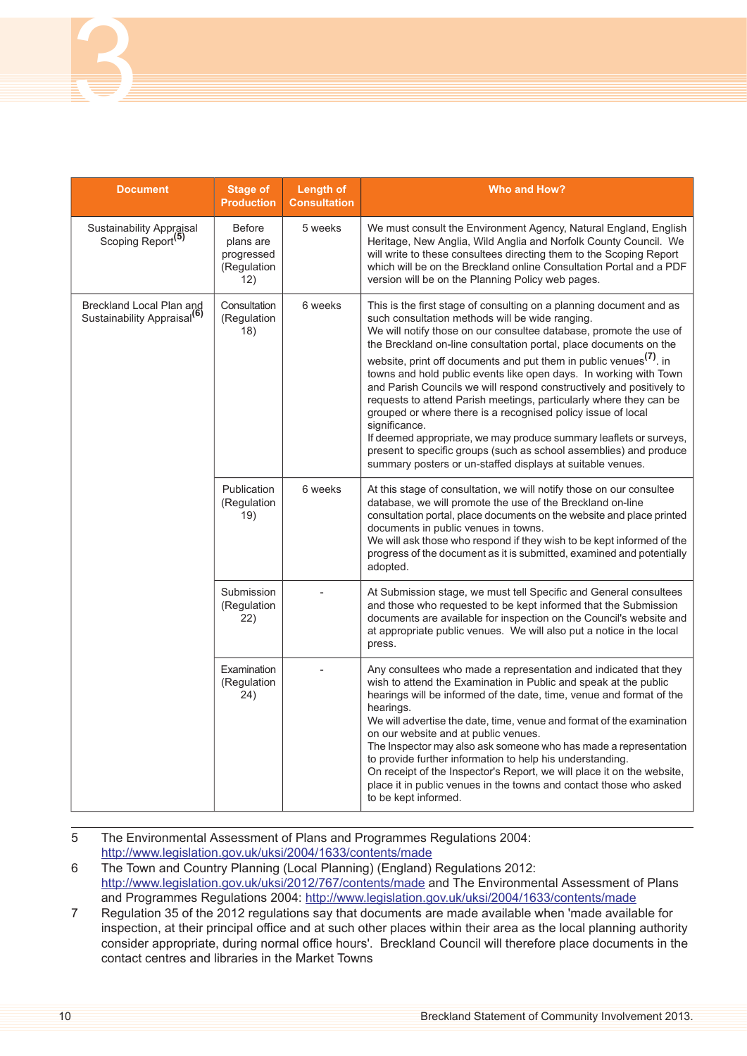| <b>Document</b>                                                     | <b>Stage of</b><br><b>Production</b>                           | <b>Length of</b><br><b>Consultation</b> | <b>Who and How?</b>                                                                                                                                                                                                                                                                                                                                                                                                                                                                                                                                                                                                                                                                                                                                                                                                                                               |  |
|---------------------------------------------------------------------|----------------------------------------------------------------|-----------------------------------------|-------------------------------------------------------------------------------------------------------------------------------------------------------------------------------------------------------------------------------------------------------------------------------------------------------------------------------------------------------------------------------------------------------------------------------------------------------------------------------------------------------------------------------------------------------------------------------------------------------------------------------------------------------------------------------------------------------------------------------------------------------------------------------------------------------------------------------------------------------------------|--|
| Sustainability Appraisal<br>Scoping Report <sup>(5)</sup>           | <b>Before</b><br>plans are<br>progressed<br>(Regulation<br>12) | 5 weeks                                 | We must consult the Environment Agency, Natural England, English<br>Heritage, New Anglia, Wild Anglia and Norfolk County Council. We<br>will write to these consultees directing them to the Scoping Report<br>which will be on the Breckland online Consultation Portal and a PDF<br>version will be on the Planning Policy web pages.                                                                                                                                                                                                                                                                                                                                                                                                                                                                                                                           |  |
| Breckland Local Plan and<br>Sustainability Appraisal <sup>(6)</sup> | Consultation<br>(Regulation<br>18)                             | 6 weeks                                 | This is the first stage of consulting on a planning document and as<br>such consultation methods will be wide ranging.<br>We will notify those on our consultee database, promote the use of<br>the Breckland on-line consultation portal, place documents on the<br>website, print off documents and put them in public venues <sup>(7)</sup> . in<br>towns and hold public events like open days. In working with Town<br>and Parish Councils we will respond constructively and positively to<br>requests to attend Parish meetings, particularly where they can be<br>grouped or where there is a recognised policy issue of local<br>significance.<br>If deemed appropriate, we may produce summary leaflets or surveys,<br>present to specific groups (such as school assemblies) and produce<br>summary posters or un-staffed displays at suitable venues. |  |
|                                                                     | Publication<br>(Regulation<br>19)                              | 6 weeks                                 | At this stage of consultation, we will notify those on our consultee<br>database, we will promote the use of the Breckland on-line<br>consultation portal, place documents on the website and place printed<br>documents in public venues in towns.<br>We will ask those who respond if they wish to be kept informed of the<br>progress of the document as it is submitted, examined and potentially<br>adopted.                                                                                                                                                                                                                                                                                                                                                                                                                                                 |  |
|                                                                     | Submission<br>(Regulation<br>22)                               |                                         | At Submission stage, we must tell Specific and General consultees<br>and those who requested to be kept informed that the Submission<br>documents are available for inspection on the Council's website and<br>at appropriate public venues. We will also put a notice in the local<br>press.                                                                                                                                                                                                                                                                                                                                                                                                                                                                                                                                                                     |  |
|                                                                     | Examination<br>(Regulation<br>24)                              |                                         | Any consultees who made a representation and indicated that they<br>wish to attend the Examination in Public and speak at the public<br>hearings will be informed of the date, time, venue and format of the<br>hearings.<br>We will advertise the date, time, venue and format of the examination<br>on our website and at public venues.<br>The Inspector may also ask someone who has made a representation<br>to provide further information to help his understanding.<br>On receipt of the Inspector's Report, we will place it on the website,<br>place it in public venues in the towns and contact those who asked<br>to be kept informed.                                                                                                                                                                                                               |  |

5 The Environmental Assessment of Plans and Programmes Regulations 2004: <http://www.legislation.gov.uk/uksi/2004/1633/contents/made>

6 The Town and Country Planning (Local Planning) (England) Regulations 2012: <http://www.legislation.gov.uk/uksi/2012/767/contents/made> and The Environmental Assessment of Plans and Programmes Regulations 2004: <http://www.legislation.gov.uk/uksi/2004/1633/contents/made>

7 Regulation 35 of the 2012 regulations say that documents are made available when 'made available for inspection, at their principal office and at such other places within their area as the local planning authority consider appropriate, during normal office hours'. Breckland Council will therefore place documents in the contact centres and libraries in the Market Towns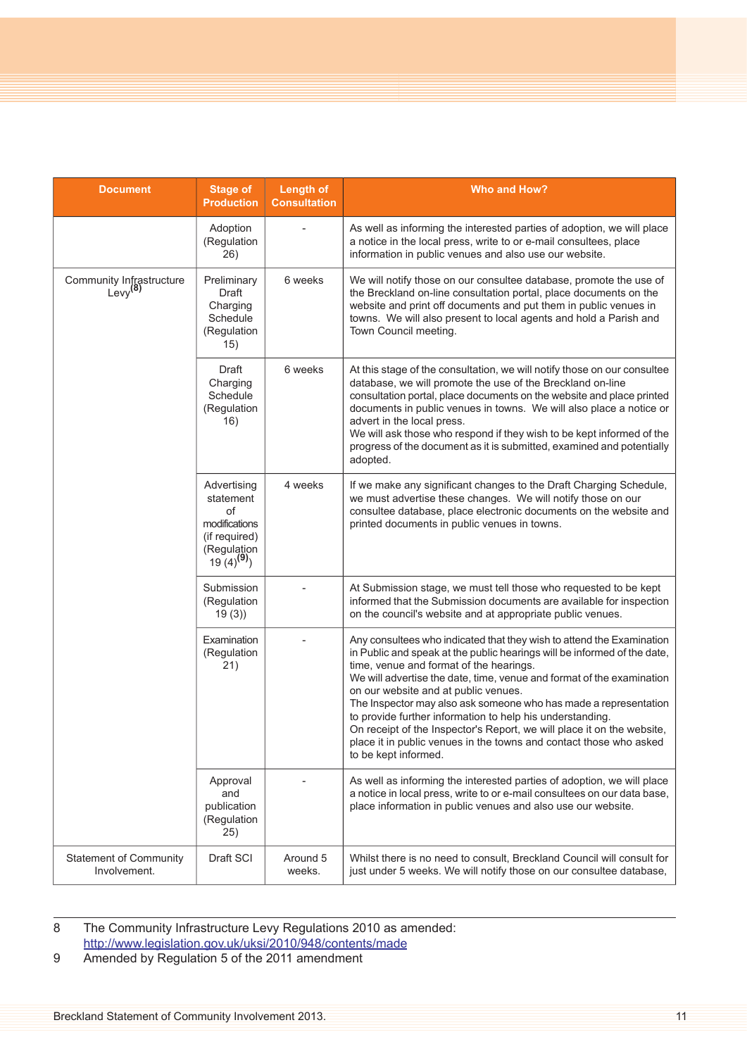| <b>Document</b>                                 | <b>Stage of</b><br><b>Production</b>                                                             | <b>Length of</b><br><b>Consultation</b> | <b>Who and How?</b>                                                                                                                                                                                                                                                                                                                                                                                                                                                                                                                                                                                                    |
|-------------------------------------------------|--------------------------------------------------------------------------------------------------|-----------------------------------------|------------------------------------------------------------------------------------------------------------------------------------------------------------------------------------------------------------------------------------------------------------------------------------------------------------------------------------------------------------------------------------------------------------------------------------------------------------------------------------------------------------------------------------------------------------------------------------------------------------------------|
|                                                 | Adoption<br>(Regulation<br>26)                                                                   |                                         | As well as informing the interested parties of adoption, we will place<br>a notice in the local press, write to or e-mail consultees, place<br>information in public venues and also use our website.                                                                                                                                                                                                                                                                                                                                                                                                                  |
| Community Infrastructure<br>Levy <sup>(8)</sup> | Preliminary<br>Draft<br>Charging<br>Schedule<br>(Regulation<br>15)                               | 6 weeks                                 | We will notify those on our consultee database, promote the use of<br>the Breckland on-line consultation portal, place documents on the<br>website and print off documents and put them in public venues in<br>towns. We will also present to local agents and hold a Parish and<br>Town Council meeting.                                                                                                                                                                                                                                                                                                              |
|                                                 | Draft<br>Charging<br>Schedule<br>(Regulation<br>16)                                              | 6 weeks                                 | At this stage of the consultation, we will notify those on our consultee<br>database, we will promote the use of the Breckland on-line<br>consultation portal, place documents on the website and place printed<br>documents in public venues in towns. We will also place a notice or<br>advert in the local press.<br>We will ask those who respond if they wish to be kept informed of the<br>progress of the document as it is submitted, examined and potentially<br>adopted.                                                                                                                                     |
|                                                 | Advertising<br>statement<br>of<br>modifications<br>(if required)<br>(Regulation 19 $(4)^{(9)}$ ) | 4 weeks                                 | If we make any significant changes to the Draft Charging Schedule,<br>we must advertise these changes. We will notify those on our<br>consultee database, place electronic documents on the website and<br>printed documents in public venues in towns.                                                                                                                                                                                                                                                                                                                                                                |
|                                                 | Submission<br>(Regulation<br>19(3)                                                               |                                         | At Submission stage, we must tell those who requested to be kept<br>informed that the Submission documents are available for inspection<br>on the council's website and at appropriate public venues.                                                                                                                                                                                                                                                                                                                                                                                                                  |
|                                                 | Examination<br>(Regulation<br>21)                                                                |                                         | Any consultees who indicated that they wish to attend the Examination<br>in Public and speak at the public hearings will be informed of the date,<br>time, venue and format of the hearings.<br>We will advertise the date, time, venue and format of the examination<br>on our website and at public venues.<br>The Inspector may also ask someone who has made a representation<br>to provide further information to help his understanding.<br>On receipt of the Inspector's Report, we will place it on the website,<br>place it in public venues in the towns and contact those who asked<br>to be kept informed. |
|                                                 | Approval<br>and<br>publication<br>(Regulation<br>25)                                             |                                         | As well as informing the interested parties of adoption, we will place<br>a notice in local press, write to or e-mail consultees on our data base,<br>place information in public venues and also use our website.                                                                                                                                                                                                                                                                                                                                                                                                     |
| <b>Statement of Community</b><br>Involvement.   | Draft SCI                                                                                        | Around 5<br>weeks.                      | Whilst there is no need to consult, Breckland Council will consult for<br>just under 5 weeks. We will notify those on our consultee database,                                                                                                                                                                                                                                                                                                                                                                                                                                                                          |

8 The Community Infrastructure Levy Regulations 2010 as amended: <http://www.legislation.gov.uk/uksi/2010/948/contents/made>

9 Amended by Regulation 5 of the 2011 amendment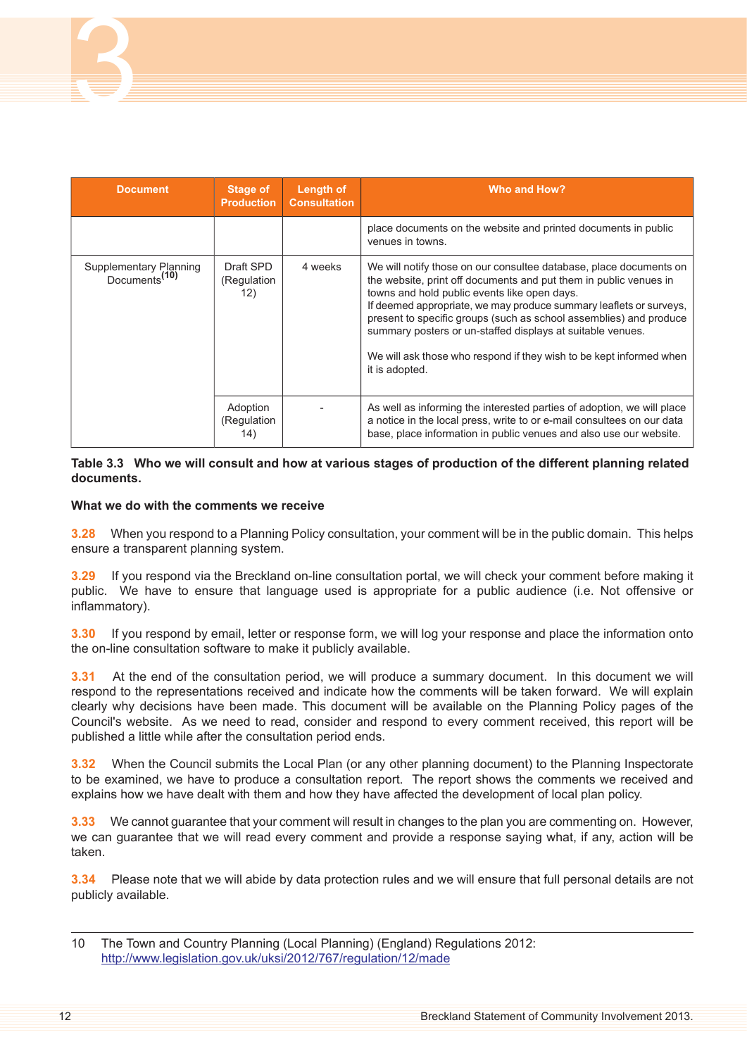| <b>Document</b>                                     | Stage of<br><b>Production</b>   | Length of<br><b>Consultation</b> | Who and How?                                                                                                                                                                                                                                                                                                                                                                                                                                                                               |
|-----------------------------------------------------|---------------------------------|----------------------------------|--------------------------------------------------------------------------------------------------------------------------------------------------------------------------------------------------------------------------------------------------------------------------------------------------------------------------------------------------------------------------------------------------------------------------------------------------------------------------------------------|
|                                                     |                                 |                                  | place documents on the website and printed documents in public<br>venues in towns.                                                                                                                                                                                                                                                                                                                                                                                                         |
| Supplementary Planning<br>Documents <sup>(10)</sup> | Draft SPD<br>(Regulation<br>12) | 4 weeks                          | We will notify those on our consultee database, place documents on<br>the website, print off documents and put them in public venues in<br>towns and hold public events like open days.<br>If deemed appropriate, we may produce summary leaflets or surveys,<br>present to specific groups (such as school assemblies) and produce<br>summary posters or un-staffed displays at suitable venues.<br>We will ask those who respond if they wish to be kept informed when<br>it is adopted. |
|                                                     | Adoption<br>(Regulation<br>14)  |                                  | As well as informing the interested parties of adoption, we will place<br>a notice in the local press, write to or e-mail consultees on our data<br>base, place information in public venues and also use our website.                                                                                                                                                                                                                                                                     |

## Table 3.3 Who we will consult and how at various stages of production of the different planning related **documents.**

# **What we do with the comments we receive**

**3.28** When you respond to a Planning Policy consultation, your comment will be in the public domain. This helps ensure a transparent planning system.

**3.29** If you respond via the Breckland on-line consultation portal, we will check your comment before making it public. We have to ensure that language used is appropriate for a public audience (i.e. Not offensive or inflammatory).

**3.30** If you respond by email, letter or response form, we will log your response and place the information onto the on-line consultation software to make it publicly available.

**3.31** At the end of the consultation period, we will produce a summary document. In this document we will respond to the representations received and indicate how the comments will be taken forward. We will explain clearly why decisions have been made. This document will be available on the Planning Policy pages of the Council's website. As we need to read, consider and respond to every comment received, this report will be published a little while after the consultation period ends.

**3.32** When the Council submits the Local Plan (or any other planning document) to the Planning Inspectorate to be examined, we have to produce a consultation report. The report shows the comments we received and explains how we have dealt with them and how they have affected the development of local plan policy.

**3.33** We cannot guarantee that your comment will result in changes to the plan you are commenting on. However, we can guarantee that we will read every comment and provide a response saying what, if any, action will be taken.

**3.34** Please note that we will abide by data protection rules and we will ensure that full personal details are not publicly available.

<sup>10</sup> The Town and Country Planning (Local Planning) (England) Regulations 2012: <http://www.legislation.gov.uk/uksi/2012/767/regulation/12/made>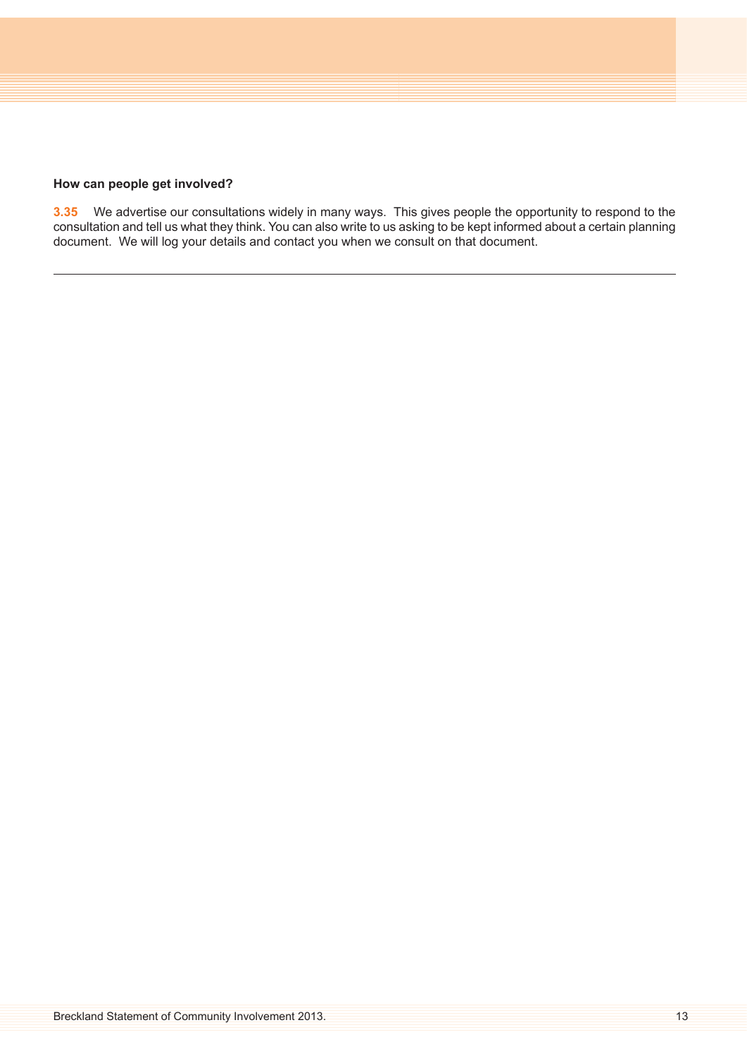## **How can people get involved?**

**3.35** We advertise our consultations widely in many ways. This gives people the opportunity to respond to the consultation and tell us what they think. You can also write to us asking to be kept informed about a certain planning document. We will log your details and contact you when we consult on that document.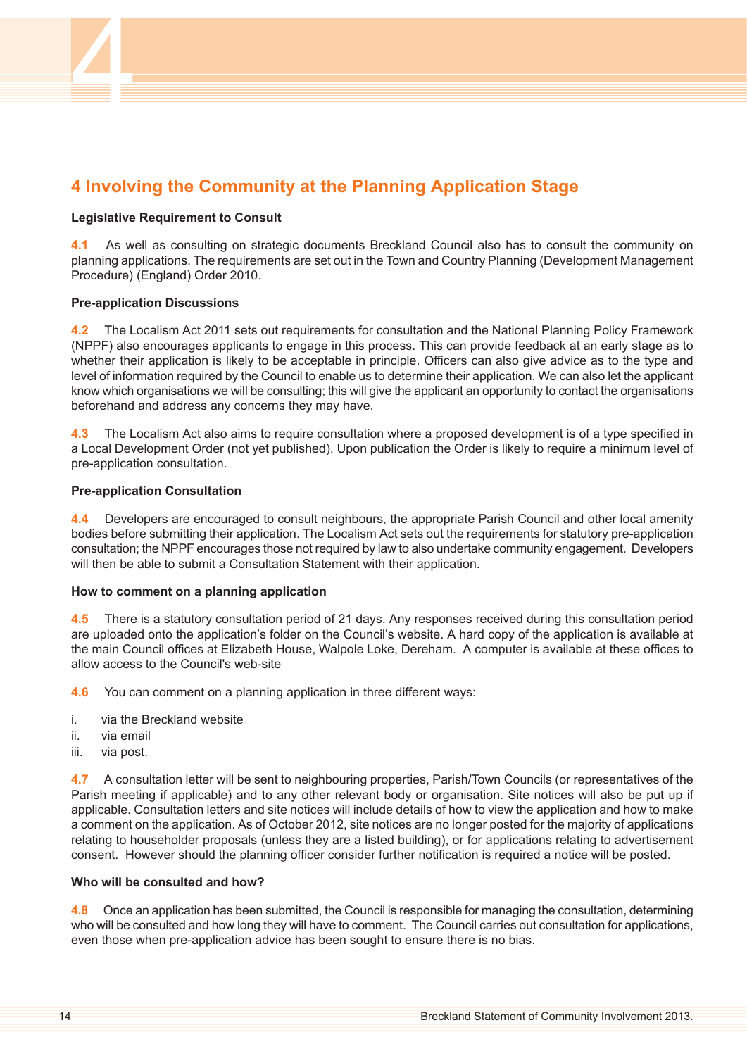# <span id="page-13-0"></span>**4 Involving the Community at the Planning Application Stage**

# **Legislative Requirement to Consult**

**4.1** As well as consulting on strategic documents Breckland Council also has to consult the community on planning applications. The requirements are set out in the Town and Country Planning (Development Management Procedure) (England) Order 2010.

# **Pre-application Discussions**

**4.2** The Localism Act 2011 sets out requirements for consultation and the National Planning Policy Framework (NPPF) also encourages applicants to engage in this process. This can provide feedback at an early stage as to whether their application is likely to be acceptable in principle. Officers can also give advice as to the type and level of information required by the Council to enable us to determine their application. We can also let the applicant know which organisations we will be consulting; this will give the applicant an opportunity to contact the organisations beforehand and address any concerns they may have.

**4.3** The Localism Act also aims to require consultation where a proposed development is of a type specified in a Local Development Order (not yet published). Upon publication the Order is likely to require a minimum level of pre-application consultation.

# **Pre-application Consultation**

**4.4** Developers are encouraged to consult neighbours, the appropriate Parish Council and other local amenity bodies before submitting their application. The Localism Act sets out the requirements for statutory pre-application consultation; the NPPF encourages those not required by law to also undertake community engagement. Developers will then be able to submit a Consultation Statement with their application.

# **How to comment on a planning application**

**4.5** There is a statutory consultation period of 21 days. Any responses received during this consultation period are uploaded onto the application's folder on the Council's website. A hard copy of the application is available at the main Council offices at Elizabeth House, Walpole Loke, Dereham. A computer is available at these offices to allow access to the Council's web-site

**4.6** You can comment on a planning application in three different ways:

- i. via the Breckland website
- ii. via email
- iii. via post.

**4.7** A consultation letter will be sent to neighbouring properties, Parish/Town Councils (or representatives of the Parish meeting if applicable) and to any other relevant body or organisation. Site notices will also be put up if applicable. Consultation letters and site notices will include details of how to view the application and how to make a comment on the application. As of October 2012, site notices are no longer posted for the majority of applications relating to householder proposals (unless they are a listed building), or for applications relating to advertisement consent. However should the planning officer consider further notification is required a notice will be posted.

# **Who will be consulted and how?**

**4.8** Once an application has been submitted, the Council is responsible for managing the consultation, determining who will be consulted and how long they will have to comment. The Council carries out consultation for applications, even those when pre-application advice has been sought to ensure there is no bias.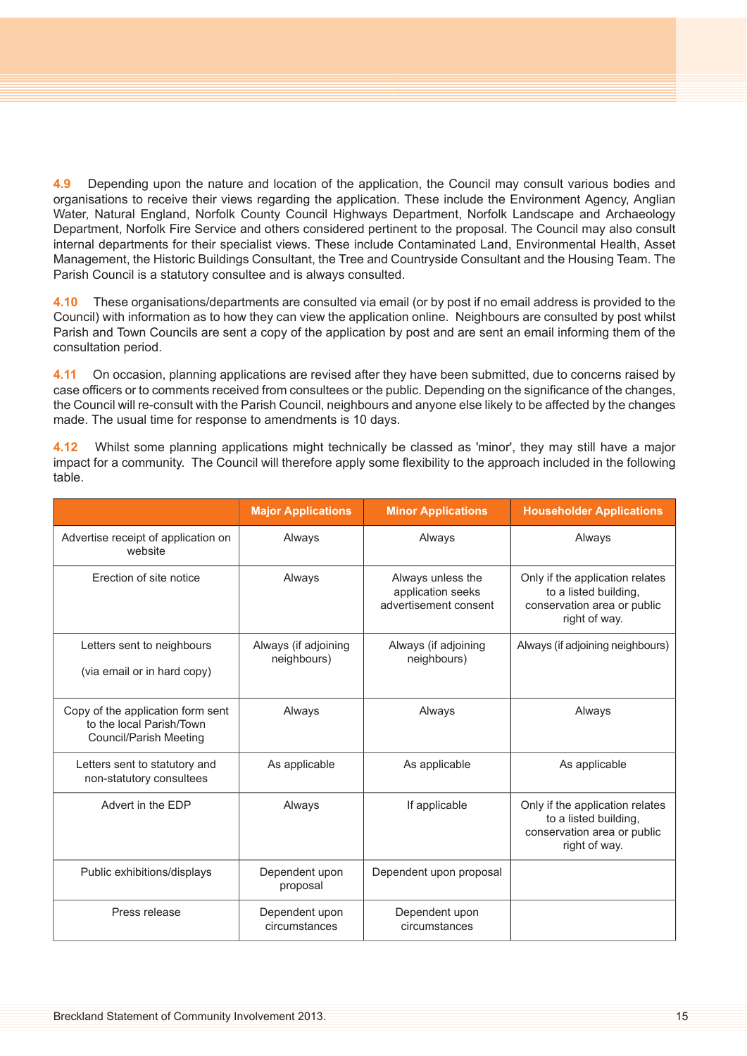**4.9** Depending upon the nature and location of the application, the Council may consult various bodies and organisations to receive their views regarding the application. These include the Environment Agency, Anglian Water, Natural England, Norfolk County Council Highways Department, Norfolk Landscape and Archaeology Department, Norfolk Fire Service and others considered pertinent to the proposal. The Council may also consult internal departments for their specialist views. These include Contaminated Land, Environmental Health, Asset Management, the Historic Buildings Consultant, the Tree and Countryside Consultant and the Housing Team. The Parish Council is a statutory consultee and is always consulted.

**4.10** These organisations/departments are consulted via email (or by post if no email address is provided to the Council) with information as to how they can view the application online. Neighbours are consulted by post whilst Parish and Town Councils are sent a copy of the application by post and are sent an email informing them of the consultation period.

**4.11** On occasion, planning applications are revised after they have been submitted, due to concerns raised by case officers or to comments received from consultees or the public. Depending on the significance of the changes, the Council will re-consult with the Parish Council, neighbours and anyone else likely to be affected by the changes made. The usual time for response to amendments is 10 days.

**4.12** Whilst some planning applications might technically be classed as 'minor', they may still have a major impact for a community. The Council will therefore apply some flexibility to the approach included in the following table.

|                                                                                         | <b>Major Applications</b>           | <b>Minor Applications</b>                                       | <b>Householder Applications</b>                                                                          |
|-----------------------------------------------------------------------------------------|-------------------------------------|-----------------------------------------------------------------|----------------------------------------------------------------------------------------------------------|
| Advertise receipt of application on<br>website                                          | Always                              | Always                                                          | Always                                                                                                   |
| Erection of site notice                                                                 | Always                              | Always unless the<br>application seeks<br>advertisement consent | Only if the application relates<br>to a listed building,<br>conservation area or public<br>right of way. |
| Letters sent to neighbours<br>(via email or in hard copy)                               | Always (if adjoining<br>neighbours) | Always (if adjoining<br>neighbours)                             | Always (if adjoining neighbours)                                                                         |
| Copy of the application form sent<br>to the local Parish/Town<br>Council/Parish Meeting | Always                              | Always                                                          | Always                                                                                                   |
| Letters sent to statutory and<br>non-statutory consultees                               | As applicable                       | As applicable                                                   | As applicable                                                                                            |
| Advert in the EDP                                                                       | Always                              | If applicable                                                   | Only if the application relates<br>to a listed building,<br>conservation area or public<br>right of way. |
| Public exhibitions/displays                                                             | Dependent upon<br>proposal          | Dependent upon proposal                                         |                                                                                                          |
| Press release                                                                           | Dependent upon<br>circumstances     | Dependent upon<br>circumstances                                 |                                                                                                          |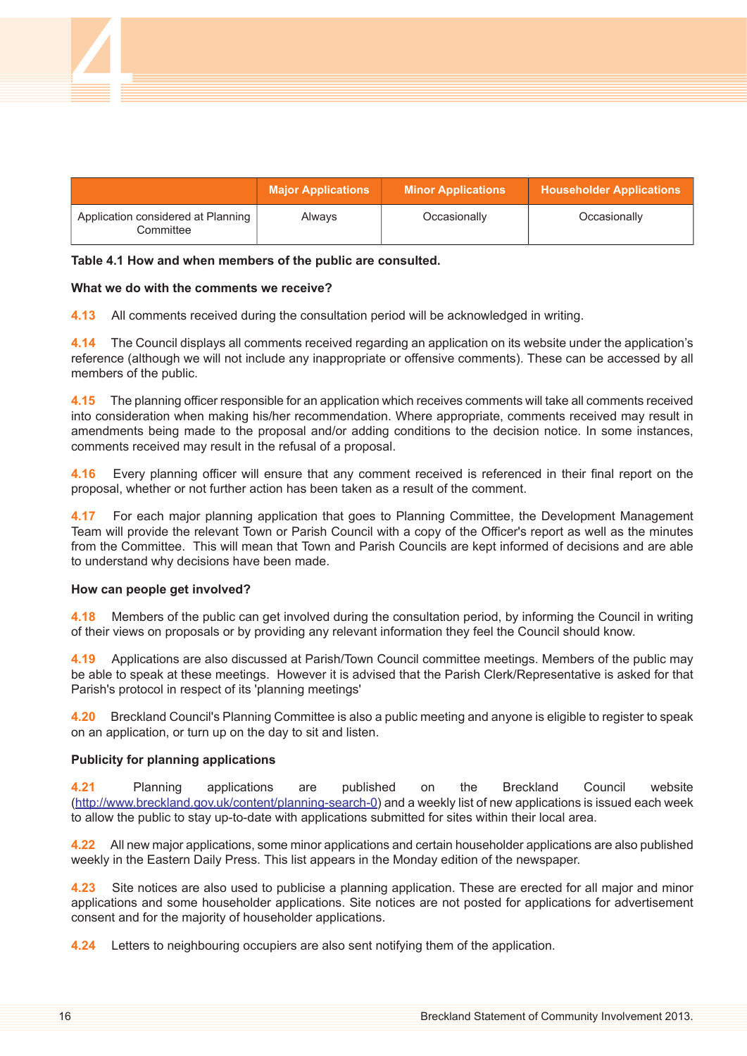|                                                 | <b>Major Applications</b> | <b>Minor Applications</b> | <b>Householder Applications</b> |
|-------------------------------------------------|---------------------------|---------------------------|---------------------------------|
| Application considered at Planning<br>Committee | Always                    | Occasionally              | Occasionally                    |

#### **Table 4.1 How and when members of the public are consulted.**

#### **What we do with the comments we receive?**

4

**4.13** All comments received during the consultation period will be acknowledged in writing.

**4.14** The Council displays all comments received regarding an application on its website under the application's reference (although we will not include any inappropriate or offensive comments). These can be accessed by all members of the public.

**4.15** The planning officer responsible for an application which receives comments will take all comments received into consideration when making his/her recommendation. Where appropriate, comments received may result in amendments being made to the proposal and/or adding conditions to the decision notice. In some instances, comments received may result in the refusal of a proposal.

**4.16** Every planning officer will ensure that any comment received is referenced in their final report on the proposal, whether or not further action has been taken as a result of the comment.

**4.17** For each major planning application that goes to Planning Committee, the Development Management Team will provide the relevant Town or Parish Council with a copy of the Officer's report as well as the minutes from the Committee. This will mean that Town and Parish Councils are kept informed of decisions and are able to understand why decisions have been made.

#### **How can people get involved?**

**4.18** Members of the public can get involved during the consultation period, by informing the Council in writing of their views on proposals or by providing any relevant information they feel the Council should know.

**4.19** Applications are also discussed at Parish/Town Council committee meetings. Members of the public may be able to speak at these meetings. However it is advised that the Parish Clerk/Representative is asked for that Parish's protocol in respect of its 'planning meetings'

**4.20** Breckland Council's Planning Committee is also a public meeting and anyone is eligible to register to speak on an application, or turn up on the day to sit and listen.

# **Publicity for planning applications**

**4.21** Planning applications are published on the Breckland Council website [\(http://www.breckland.gov.uk/content/planning-search-0\)](mailto:www.breckland.gov.uk/content/planning-search-0) and a weekly list of new applications is issued each week to allow the public to stay up-to-date with applications submitted for sites within their local area.

**4.22** All new major applications, some minor applications and certain householder applications are also published weekly in the Eastern Daily Press. This list appears in the Monday edition of the newspaper.

**4.23** Site notices are also used to publicise a planning application. These are erected for all major and minor applications and some householder applications. Site notices are not posted for applications for advertisement consent and for the majority of householder applications.

**4.24** Letters to neighbouring occupiers are also sent notifying them of the application.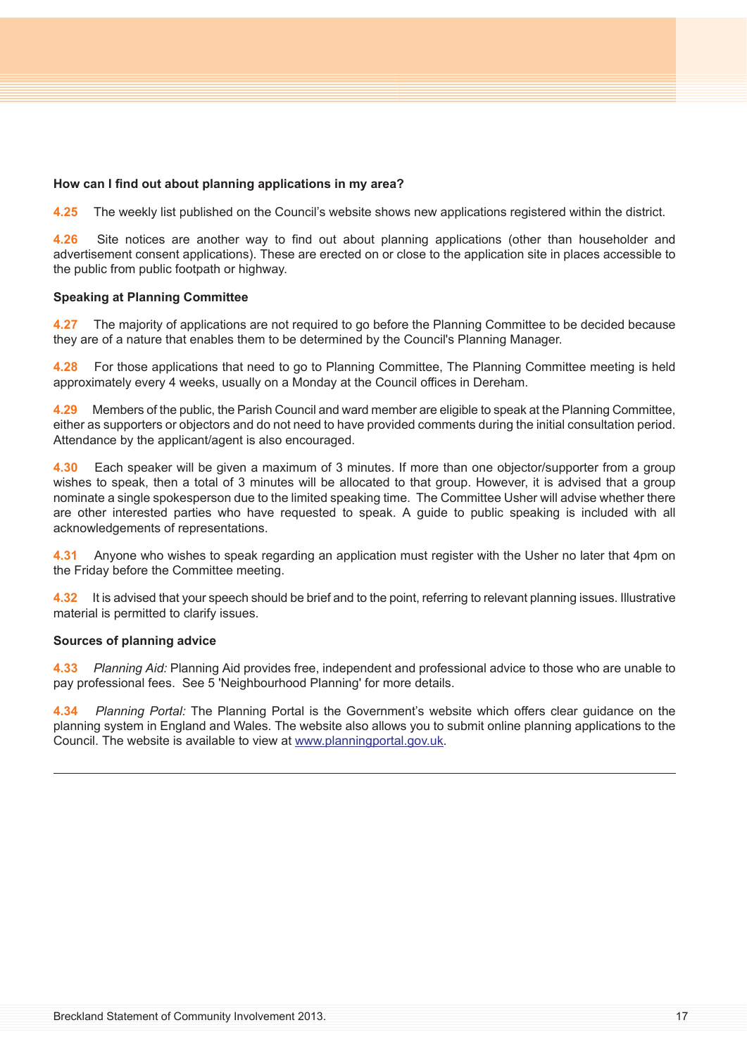# **How can I find out about planning applications in my area?**

**4.25** The weekly list published on the Council's website shows new applications registered within the district.

**4.26** Site notices are another way to find out about planning applications (other than householder and advertisement consent applications). These are erected on or close to the application site in places accessible to the public from public footpath or highway.

# **Speaking at Planning Committee**

**4.27** The majority of applications are not required to go before the Planning Committee to be decided because they are of a nature that enables them to be determined by the Council's Planning Manager.

**4.28** For those applications that need to go to Planning Committee, The Planning Committee meeting is held approximately every 4 weeks, usually on a Monday at the Council offices in Dereham.

**4.29** Members of the public, the Parish Council and ward member are eligible to speak at the Planning Committee, either as supporters or objectors and do not need to have provided comments during the initial consultation period. Attendance by the applicant/agent is also encouraged.

**4.30** Each speaker will be given a maximum of 3 minutes. If more than one objector/supporter from a group wishes to speak, then a total of 3 minutes will be allocated to that group. However, it is advised that a group nominate a single spokesperson due to the limited speaking time. The Committee Usher will advise whether there are other interested parties who have requested to speak. A guide to public speaking is included with all acknowledgements of representations.

**4.31** Anyone who wishes to speak regarding an application must register with the Usher no later that 4pm on the Friday before the Committee meeting.

**4.32** It is advised that your speech should be brief and to the point, referring to relevant planning issues. Illustrative material is permitted to clarify issues.

#### **Sources of planning advice**

**4.33** *Planning Aid:* Planning Aid provides free, independent and professional advice to those who are unable to pay professional fees. See 5 ['Neighbourhood](#page-17-0) Planning' for more details.

**4.34** *Planning Portal:* The Planning Portal is the Government's website which offers clear guidance on the planning system in England and Wales. The website also allows you to submit online planning applications to the Council. The website is available to view at [www.planningportal.gov.uk](http://www.planningportal.gov.uk/).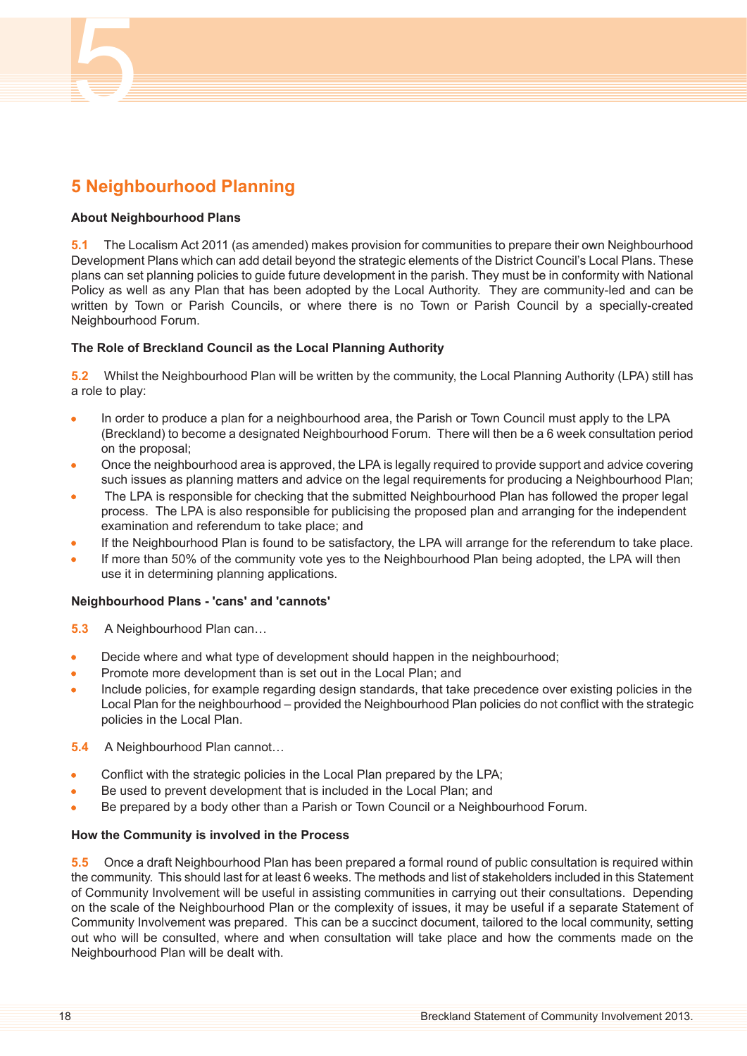# <span id="page-17-0"></span>**5 Neighbourhood Planning**

# **About Neighbourhood Plans**

5

**5.1** The Localism Act 2011 (as amended) makes provision for communities to prepare their own Neighbourhood Development Plans which can add detail beyond the strategic elements of the District Council's Local Plans. These plans can set planning policies to guide future development in the parish. They must be in conformity with National Policy as well as any Plan that has been adopted by the Local Authority. They are community-led and can be written by Town or Parish Councils, or where there is no Town or Parish Council by a specially-created Neighbourhood Forum.

# **The Role of Breckland Council as the Local Planning Authority**

**5.2** Whilst the Neighbourhood Plan will be written by the community, the Local Planning Authority (LPA) still has a role to play:

- $\bullet$ In order to produce a plan for a neighbourhood area, the Parish or Town Council must apply to the LPA (Breckland) to become a designated Neighbourhood Forum. There will then be a 6 week consultation period on the proposal;
- Once the neighbourhood area is approved, the LPA is legally required to provide support and advice covering such issues as planning matters and advice on the legal requirements for producing a Neighbourhood Plan;
- The LPA is responsible for checking that the submitted Neighbourhood Plan has followed the proper legal process. The LPA is also responsible for publicising the proposed plan and arranging for the independent examination and referendum to take place; and
- If the Neighbourhood Plan is found to be satisfactory, the LPA will arrange for the referendum to take place.
- If more than 50% of the community vote yes to the Neighbourhood Plan being adopted, the LPA will then use it in determining planning applications.

# **Neighbourhood Plans - 'cans' and 'cannots'**

- **5.3** A Neighbourhood Plan can…
- Decide where and what type of development should happen in the neighbourhood;  $\Delta$
- Promote more development than is set out in the Local Plan; and
- Include policies, for example regarding design standards, that take precedence over existing policies in the Local Plan for the neighbourhood – provided the Neighbourhood Plan policies do not conflict with the strategic policies in the Local Plan.
- **5.4** A Neighbourhood Plan cannot…
- Conflict with the strategic policies in the Local Plan prepared by the LPA;
- Be used to prevent development that is included in the Local Plan; and
- Be prepared by a body other than a Parish or Town Council or a Neighbourhood Forum.

# **How the Community is involved in the Process**

**5.5** Once a draft Neighbourhood Plan has been prepared a formal round of public consultation is required within the community. This should last for at least 6 weeks. The methods and list of stakeholders included in this Statement of Community Involvement will be useful in assisting communities in carrying out their consultations. Depending on the scale of the Neighbourhood Plan or the complexity of issues, it may be useful if a separate Statement of Community Involvement was prepared. This can be a succinct document, tailored to the local community, setting out who will be consulted, where and when consultation will take place and how the comments made on the Neighbourhood Plan will be dealt with.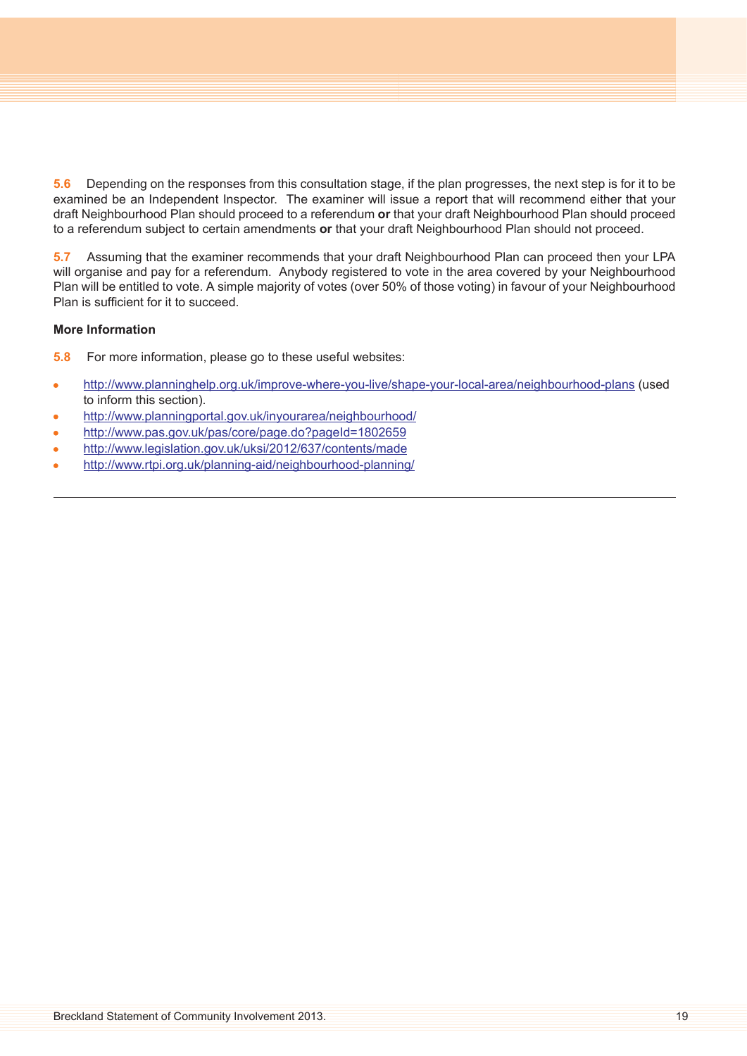**5.6** Depending on the responses from this consultation stage, if the plan progresses, the next step is for it to be examined be an Independent Inspector. The examiner will issue a report that will recommend either that your draft Neighbourhood Plan should proceed to a referendum **or** that your draft Neighbourhood Plan should proceed to a referendum subject to certain amendments **or** that your draft Neighbourhood Plan should not proceed.

**5.7** Assuming that the examiner recommends that your draft Neighbourhood Plan can proceed then your LPA will organise and pay for a referendum. Anybody registered to vote in the area covered by your Neighbourhood Plan will be entitled to vote. A simple majority of votes (over 50% of those voting) in favour of your Neighbourhood Plan is sufficient for it to succeed.

# **More Information**

**5.8** For more information, please go to these useful websites:

- <http://www.planninghelp.org.uk/improve-where-you-live/shape-your-local-area/neighbourhood-plans> (used  $\bullet$ to inform this section).
- <http://www.planningportal.gov.uk/inyourarea/neighbourhood/>
- <http://www.pas.gov.uk/pas/core/page.do?pageId=1802659>  $\bullet$
- <http://www.legislation.gov.uk/uksi/2012/637/contents/made>  $\bullet$
- <http://www.rtpi.org.uk/planning-aid/neighbourhood-planning/>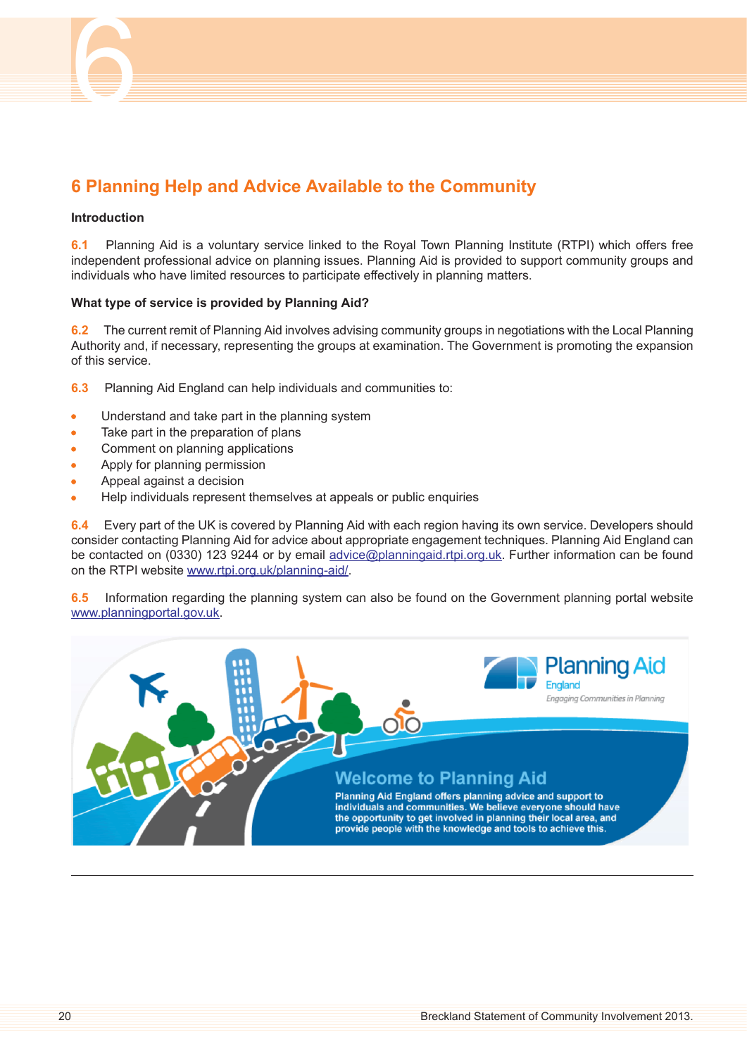<span id="page-19-0"></span>

#### **Introduction**

6

**6.1** Planning Aid is a voluntary service linked to the Royal Town Planning Institute (RTPI) which offers free independent professional advice on planning issues. Planning Aid is provided to support community groups and individuals who have limited resources to participate effectively in planning matters.

#### **What type of service is provided by Planning Aid?**

**6.2** The current remit of Planning Aid involves advising community groups in negotiations with the Local Planning Authority and, if necessary, representing the groups at examination. The Government is promoting the expansion of this service.

- **6.3** Planning Aid England can help individuals and communities to:
- Understand and take part in the planning system  $\bullet$
- Take part in the preparation of plans  $\bullet$
- Comment on planning applications  $\bullet$
- Apply for planning permission
- Appeal against a decision  $\bullet$
- Help individuals represent themselves at appeals or public enquiries ۸

**6.4** Every part of the UK is covered by Planning Aid with each region having its own service. Developers should consider contacting Planning Aid for advice about appropriate engagement techniques. Planning Aid England can be contacted on (0330) 123 9244 or by email [advice@planningaid.rtpi.org.uk.](mailto:advice@planningaid.rtpi.org.uk) Further information can be found on the RTPI website [www.rtpi.org.uk/planning-aid/.](http://www.rtpi.org.uk/planning-aid/)

**6.5** Information regarding the planning system can also be found on the Government planning portal website [www.planningportal.gov.uk.](http://www.planningportal.gov.uk)

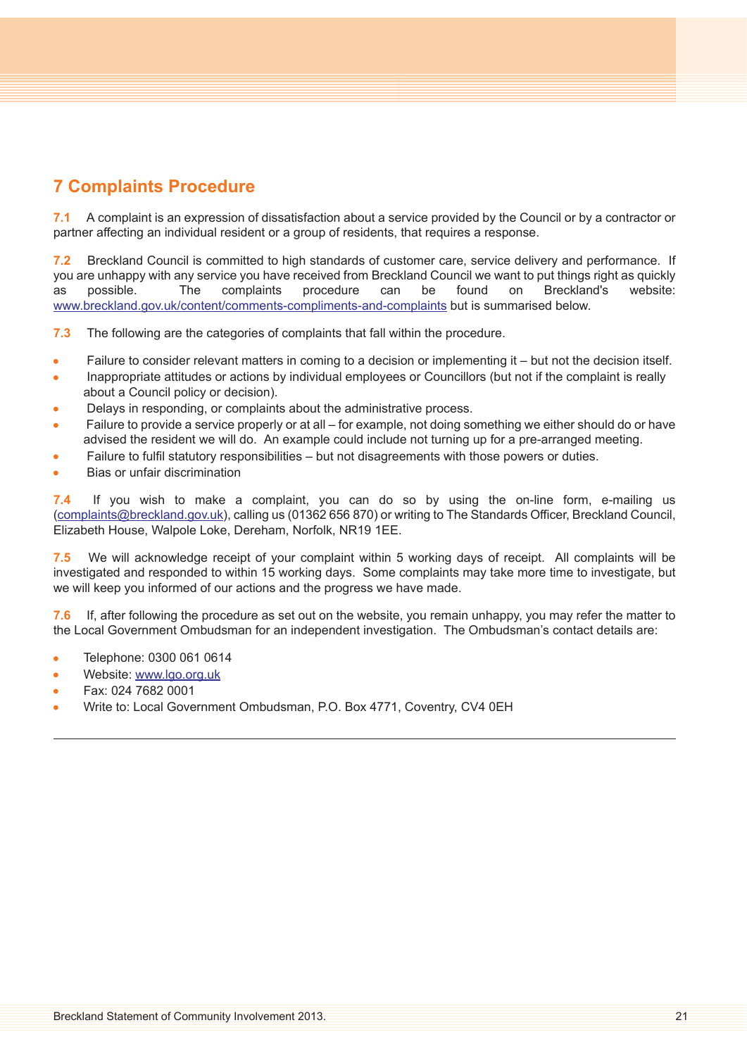# <span id="page-20-0"></span>**7 Complaints Procedure**

**7.1** A complaint is an expression of dissatisfaction about a service provided by the Council or by a contractor or partner affecting an individual resident or a group of residents, that requires a response.

**7.2** Breckland Council is committed to high standards of customer care, service delivery and performance. If you are unhappy with any service you have received from Breckland Council we want to put things right as quickly as possible. The complaints procedure can be found on Breckland's website: [www.breckland.gov.uk/content/comments-compliments-and-complaints](http://www.breckland.gov.uk/content/comments-compliments-and-complaints) but is summarised below.

**7.3** The following are the categories of complaints that fall within the procedure.

- Failure to consider relevant matters in coming to a decision or implementing it but not the decision itself.  $\bullet$
- Inappropriate attitudes or actions by individual employees or Councillors (but not if the complaint is really  $\bullet$ about a Council policy or decision).
- Delays in responding, or complaints about the administrative process.
- Failure to provide a service properly or at all for example, not doing something we either should do or have  $\Delta$ advised the resident we will do. An example could include not turning up for a pre-arranged meeting.
- Failure to fulfil statutory responsibilities but not disagreements with those powers or duties.
- Bias or unfair discrimination

**7.4** If you wish to make a complaint, you can do so by using the on-line form, e-mailing us ([complaints@breckland.gov.uk\)](mailto:complaints@breckland.gov.uk), calling us (01362 656 870) or writing to The Standards Officer, Breckland Council, Elizabeth House, Walpole Loke, Dereham, Norfolk, NR19 1EE.

**7.5** We will acknowledge receipt of your complaint within 5 working days of receipt. All complaints will be investigated and responded to within 15 working days. Some complaints may take more time to investigate, but we will keep you informed of our actions and the progress we have made.

**7.6** If, after following the procedure as set out on the website, you remain unhappy, you may refer the matter to the Local Government Ombudsman for an independent investigation. The Ombudsman's contact details are:

- Telephone: 0300 061 0614 Ä
- Website: [www.lgo.org.uk](http://www.lgo.org.uk/)
- Fax: 024 7682 0001
- Write to: Local Government Ombudsman, P.O. Box 4771, Coventry, CV4 0EH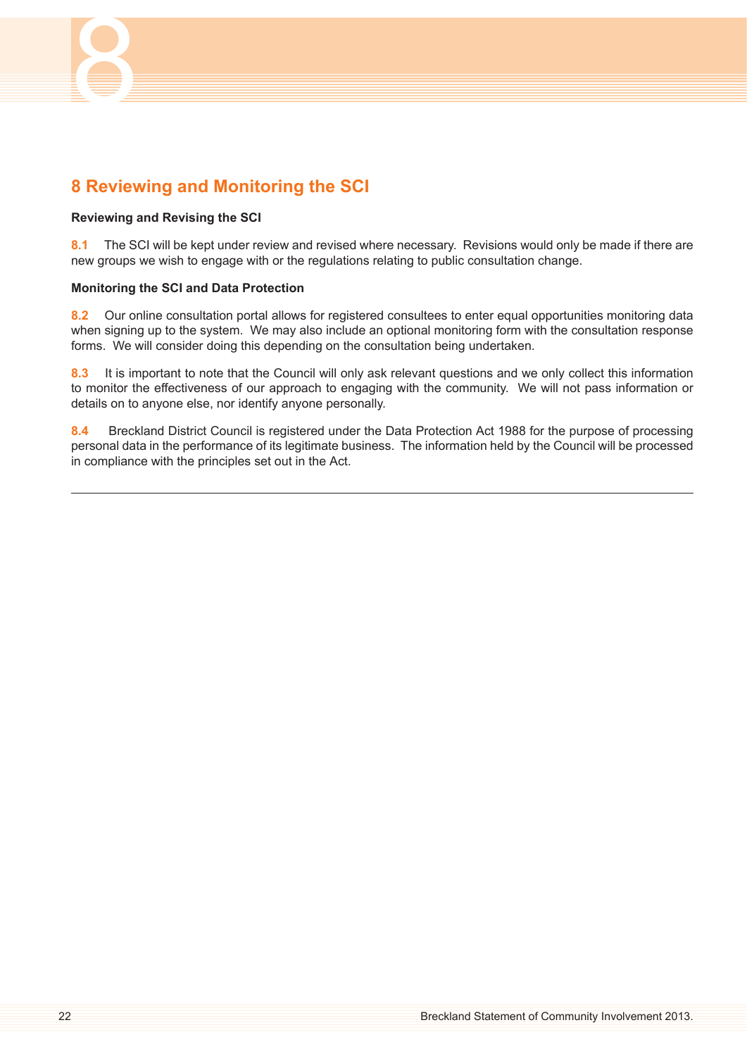

# <span id="page-21-0"></span>**8 Reviewing and Monitoring the SCI**

# **Reviewing and Revising the SCI**

**8.1** The SCI will be kept under review and revised where necessary. Revisions would only be made if there are new groups we wish to engage with or the regulations relating to public consultation change.

#### **Monitoring the SCI and Data Protection**

**8.2** Our online consultation portal allows for registered consultees to enter equal opportunities monitoring data when signing up to the system. We may also include an optional monitoring form with the consultation response forms. We will consider doing this depending on the consultation being undertaken.

**8.3** It is important to note that the Council will only ask relevant questions and we only collect this information to monitor the effectiveness of our approach to engaging with the community. We will not pass information or details on to anyone else, nor identify anyone personally.

**8.4** Breckland District Council is registered under the Data Protection Act 1988 for the purpose of processing personal data in the performance of its legitimate business. The information held by the Council will be processed in compliance with the principles set out in the Act.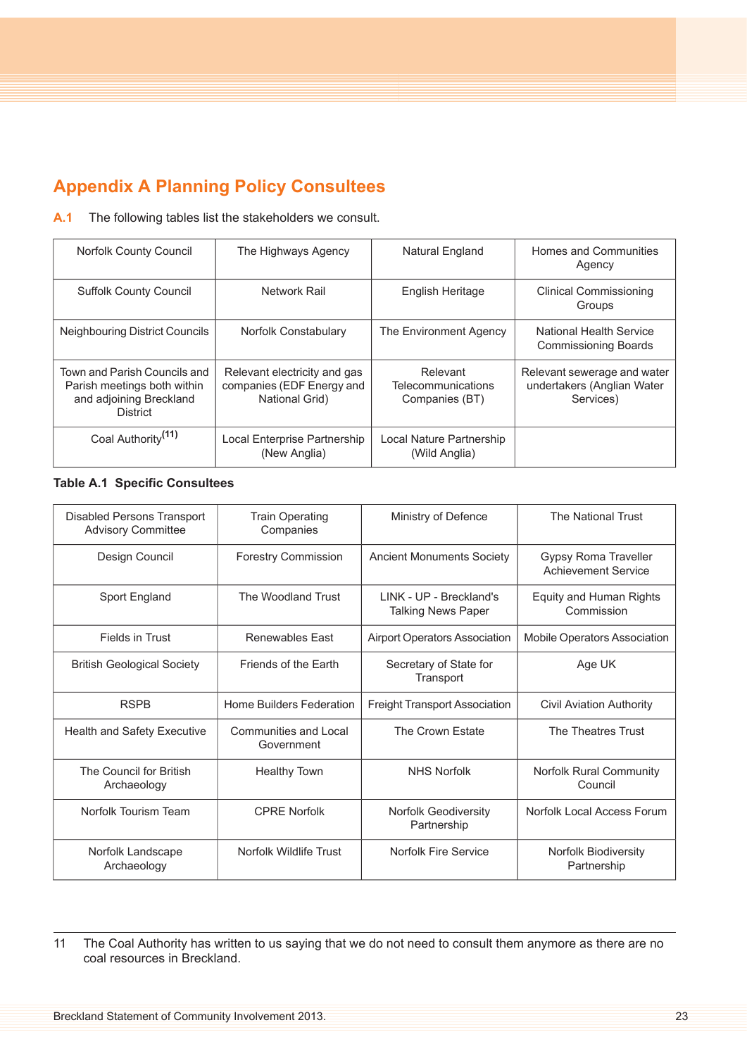# <span id="page-22-0"></span>**Appendix A Planning Policy Consultees**

# **A.1** The following tables list the stakeholders we consult.

| <b>Norfolk County Council</b>                                                                             | The Highways Agency                                                         | Natural England                                  | Homes and Communities<br>Agency                                        |
|-----------------------------------------------------------------------------------------------------------|-----------------------------------------------------------------------------|--------------------------------------------------|------------------------------------------------------------------------|
| <b>Suffolk County Council</b>                                                                             | Network Rail                                                                | <b>English Heritage</b>                          | <b>Clinical Commissioning</b><br>Groups                                |
| <b>Neighbouring District Councils</b>                                                                     | Norfolk Constabulary                                                        | The Environment Agency                           | National Health Service<br><b>Commissioning Boards</b>                 |
| Town and Parish Councils and<br>Parish meetings both within<br>and adjoining Breckland<br><b>District</b> | Relevant electricity and gas<br>companies (EDF Energy and<br>National Grid) | Relevant<br>Telecommunications<br>Companies (BT) | Relevant sewerage and water<br>undertakers (Anglian Water<br>Services) |
| Coal Authority <sup>(11)</sup>                                                                            | Local Enterprise Partnership<br>(New Anglia)                                | Local Nature Partnership<br>(Wild Anglia)        |                                                                        |

# **Table A.1 Specific Consultees**

| Disabled Persons Transport<br><b>Advisory Committee</b> | <b>Train Operating</b><br>Companies | Ministry of Defence                                  | <b>The National Trust</b>                          |
|---------------------------------------------------------|-------------------------------------|------------------------------------------------------|----------------------------------------------------|
| Design Council                                          | <b>Forestry Commission</b>          | <b>Ancient Monuments Society</b>                     | Gypsy Roma Traveller<br><b>Achievement Service</b> |
| Sport England                                           | The Woodland Trust                  | LINK - UP - Breckland's<br><b>Talking News Paper</b> | Equity and Human Rights<br>Commission              |
| Fields in Trust                                         | <b>Renewables East</b>              | <b>Airport Operators Association</b>                 | Mobile Operators Association                       |
| <b>British Geological Society</b>                       | Friends of the Farth                | Secretary of State for<br>Transport                  | Age UK                                             |
| <b>RSPB</b>                                             | Home Builders Federation            | <b>Freight Transport Association</b>                 | <b>Civil Aviation Authority</b>                    |
| <b>Health and Safety Executive</b>                      | Communities and Local<br>Government | The Crown Estate                                     | The Theatres Trust                                 |
| The Council for British<br>Archaeology                  | <b>Healthy Town</b>                 | <b>NHS Norfolk</b>                                   | Norfolk Rural Community<br>Council                 |
| Norfolk Tourism Team                                    | <b>CPRE Norfolk</b>                 | <b>Norfolk Geodiversity</b><br>Partnership           | Norfolk Local Access Forum                         |
| Norfolk Landscape<br>Archaeology                        | Norfolk Wildlife Trust              | Norfolk Fire Service                                 | Norfolk Biodiversity<br>Partnership                |

11 The Coal Authority has written to us saying that we do not need to consult them anymore as there are no coal resources in Breckland.